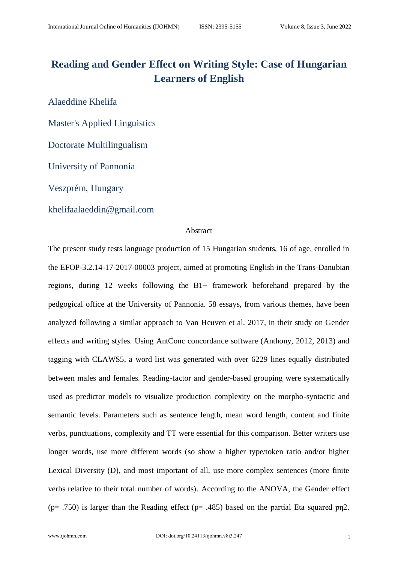# **Reading and Gender Effect on Writing Style: Case of Hungarian Learners of English**

Alaeddine Khelifa

Master's Applied Linguistics

Doctorate Multilingualism

University of Pannonia

Veszprém, Hungary

khelifaalaeddin@gmail.com

## Abstract

The present study tests language production of 15 Hungarian students, 16 of age, enrolled in the EFOP-3.2.14-17-2017-00003 project, aimed at promoting English in the Trans-Danubian regions, during 12 weeks following the B1+ framework beforehand prepared by the pedgogical office at the University of Pannonia. 58 essays, from various themes, have been analyzed following a similar approach to Van Heuven et al. 2017, in their study on Gender effects and writing styles. Using AntConc concordance software (Anthony, 2012, 2013) and tagging with CLAWS5, a word list was generated with over 6229 lines equally distributed between males and females. Reading-factor and gender-based grouping were systematically used as predictor models to visualize production complexity on the morpho-syntactic and semantic levels. Parameters such as sentence length, mean word length, content and finite verbs, punctuations, complexity and TT were essential for this comparison. Better writers use longer words, use more different words (so show a higher type/token ratio and/or higher Lexical Diversity (D), and most important of all, use more complex sentences (more finite verbs relative to their total number of words). According to the ANOVA, the Gender effect (p= .750) is larger than the Reading effect (p= .485) based on the partial Eta squared pn2.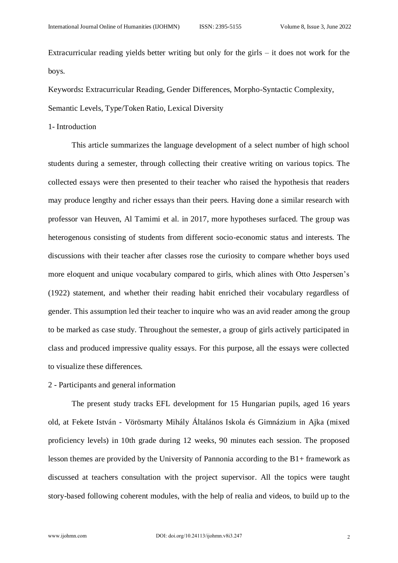Extracurricular reading yields better writing but only for the girls – it does not work for the boys.

Keywords**:** Extracurricular Reading, Gender Differences, Morpho-Syntactic Complexity,

Semantic Levels, Type/Token Ratio, Lexical Diversity

#### 1- Introduction

This article summarizes the language development of a select number of high school students during a semester, through collecting their creative writing on various topics. The collected essays were then presented to their teacher who raised the hypothesis that readers may produce lengthy and richer essays than their peers. Having done a similar research with professor van Heuven, Al Tamimi et al. in 2017, more hypotheses surfaced. The group was heterogenous consisting of students from different socio-economic status and interests. The discussions with their teacher after classes rose the curiosity to compare whether boys used more eloquent and unique vocabulary compared to girls, which alines with Otto Jespersen's (1922) statement, and whether their reading habit enriched their vocabulary regardless of gender. This assumption led their teacher to inquire who was an avid reader among the group to be marked as case study. Throughout the semester, a group of girls actively participated in class and produced impressive quality essays. For this purpose, all the essays were collected to visualize these differences.

## 2 - Participants and general information

The present study tracks EFL development for 15 Hungarian pupils, aged 16 years old, at Fekete István - Vörösmarty Mihály Általános Iskola és Gimnázium in Ajka (mixed proficiency levels) in 10th grade during 12 weeks, 90 minutes each session. The proposed lesson themes are provided by the University of Pannonia according to the B1+ framework as discussed at teachers consultation with the project supervisor. All the topics were taught story-based following coherent modules, with the help of realia and videos, to build up to the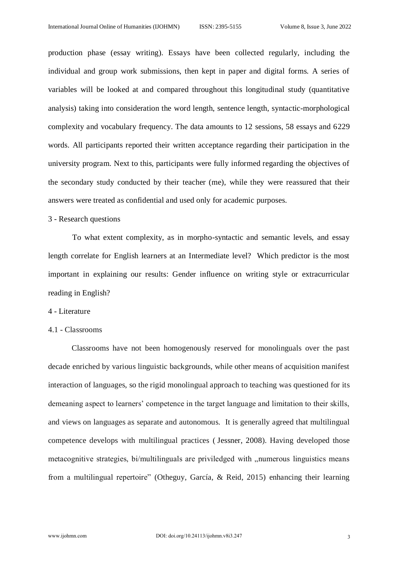production phase (essay writing). Essays have been collected regularly, including the individual and group work submissions, then kept in paper and digital forms. A series of variables will be looked at and compared throughout this longitudinal study (quantitative analysis) taking into consideration the word length, sentence length, syntactic-morphological complexity and vocabulary frequency. The data amounts to 12 sessions, 58 essays and 6229 words. All participants reported their written acceptance regarding their participation in the university program. Next to this, participants were fully informed regarding the objectives of the secondary study conducted by their teacher (me), while they were reassured that their answers were treated as confidential and used only for academic purposes.

#### 3 - Research questions

To what extent complexity, as in morpho-syntactic and semantic levels, and essay length correlate for English learners at an Intermediate level? Which predictor is the most important in explaining our results: Gender influence on writing style or extracurricular reading in English?

#### 4 - Literature

# 4.1 - Classrooms

Classrooms have not been homogenously reserved for monolinguals over the past decade enriched by various linguistic backgrounds, while other means of acquisition manifest interaction of languages, so the rigid monolingual approach to teaching was questioned for its demeaning aspect to learners' competence in the target language and limitation to their skills, and views on languages as separate and autonomous. It is generally agreed that multilingual competence develops with multilingual practices ( Jessner, 2008). Having developed those metacognitive strategies, bi/multilinguals are priviledged with "numerous linguistics means from a multilingual repertoire" (Otheguy, García, & Reid, 2015) enhancing their learning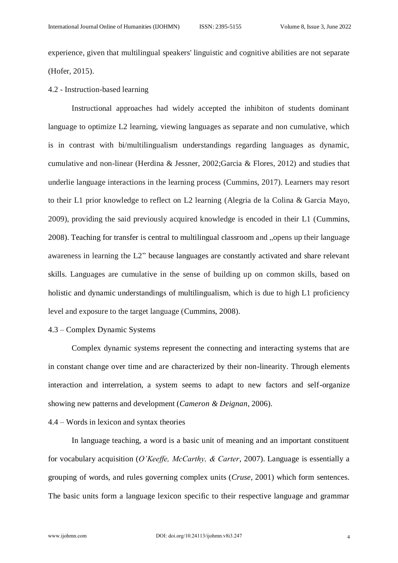experience, given that multilingual speakers' linguistic and cognitive abilities are not separate (Hofer, 2015).

#### 4.2 - Instruction-based learning

Instructional approaches had widely accepted the inhibiton of students dominant language to optimize L2 learning, viewing languages as separate and non cumulative, which is in contrast with bi/multilingualism understandings regarding languages as dynamic, cumulative and non-linear (Herdina & Jessner, 2002;Garcia & Flores, 2012) and studies that underlie language interactions in the learning process (Cummins, 2017). Learners may resort to their L1 prior knowledge to reflect on L2 learning (Alegria de la Colina & Garcia Mayo, 2009), providing the said previously acquired knowledge is encoded in their L1 (Cummins, 2008). Teaching for transfer is central to multilingual classroom and "opens up their language awareness in learning the L2" because languages are constantly activated and share relevant skills. Languages are cumulative in the sense of building up on common skills, based on holistic and dynamic understandings of multilingualism, which is due to high L1 proficiency level and exposure to the target language (Cummins, 2008).

# 4.3 – Complex Dynamic Systems

Complex dynamic systems represent the connecting and interacting systems that are in constant change over time and are characterized by their non-linearity. Through elements interaction and interrelation, a system seems to adapt to new factors and self-organize showing new patterns and development (*Cameron & Deignan*, 2006).

# 4.4 – Words in lexicon and syntax theories

In language teaching, a word is a basic unit of meaning and an important constituent for vocabulary acquisition (*O'Keeffe, McCarthy, & Carter*, 2007). Language is essentially a grouping of words, and rules governing complex units (*Cruse*, 2001) which form sentences. The basic units form a language lexicon specific to their respective language and grammar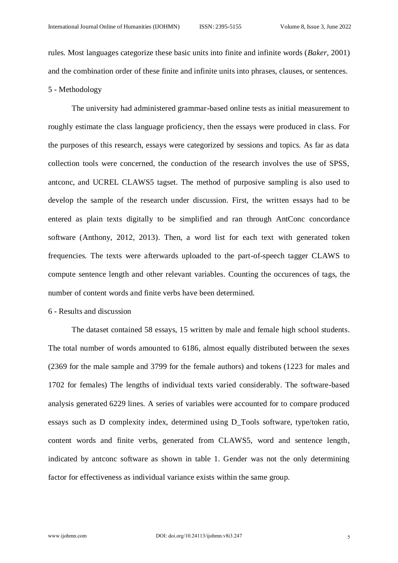rules. Most languages categorize these basic units into finite and infinite words (*Baker*, 2001) and the combination order of these finite and infinite units into phrases, clauses, or sentences. 5 - Methodology

The university had administered grammar-based online tests as initial measurement to roughly estimate the class language proficiency, then the essays were produced in class. For the purposes of this research, essays were categorized by sessions and topics. As far as data collection tools were concerned, the conduction of the research involves the use of SPSS, antconc, and UCREL CLAWS5 tagset. The method of purposive sampling is also used to develop the sample of the research under discussion. First, the written essays had to be entered as plain texts digitally to be simplified and ran through AntConc concordance software (Anthony, 2012, 2013). Then, a word list for each text with generated token frequencies. The texts were afterwards uploaded to the part-of-speech tagger CLAWS to compute sentence length and other relevant variables. Counting the occurences of tags, the number of content words and finite verbs have been determined.

## 6 - Results and discussion

The dataset contained 58 essays, 15 written by male and female high school students. The total number of words amounted to 6186, almost equally distributed between the sexes (2369 for the male sample and 3799 for the female authors) and tokens (1223 for males and 1702 for females) The lengths of individual texts varied considerably. The software-based analysis generated 6229 lines. A series of variables were accounted for to compare produced essays such as D complexity index, determined using D\_Tools software, type/token ratio, content words and finite verbs, generated from CLAWS5, word and sentence length, indicated by antconc software as shown in table 1. Gender was not the only determining factor for effectiveness as individual variance exists within the same group.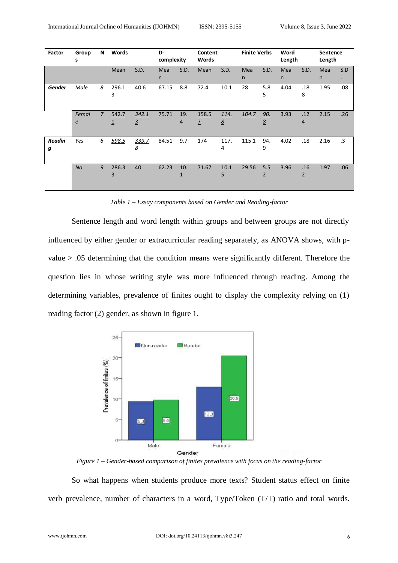| Factor        | Group<br>s | N              | Words      |                          | D-<br>complexity    |          | Content<br>Words        |           | <b>Finite Verbs</b> |          | Word<br>Length      |                       | <b>Sentence</b><br>Length |           |
|---------------|------------|----------------|------------|--------------------------|---------------------|----------|-------------------------|-----------|---------------------|----------|---------------------|-----------------------|---------------------------|-----------|
|               |            |                | Mean       | S.D.                     | Mea<br>$\mathsf{n}$ | S.D.     | Mean                    | S.D.      | Mea<br>$\mathsf{n}$ | S.D.     | Mea<br>$\mathsf{n}$ | S.D.                  | <b>Mea</b><br>n           | S.D<br>÷  |
| <b>Gender</b> | Male       | 8              | 296.1<br>3 | 40.6                     | 67.15               | 8.8      | 72.4                    | 10.1      | 28                  | 5.8<br>5 | 4.04                | .18<br>8              | 1.95                      | .08       |
|               | Femal<br>e | $\overline{7}$ | 542.7<br>1 | 342.1<br>$\overline{3}$  | 75.71               | 19.<br>4 | 158.5<br>$\overline{1}$ | 114.<br>8 | 104.7               | 90.<br>8 | 3.93                | .12<br>4              | 2.15                      | .26       |
| Readin<br>g   | Yes        | 6              | 598.5      | 339.7<br>$\underline{8}$ | 84.51               | 9.7      | 174                     | 117.<br>4 | 115.1               | 94.<br>9 | 4.02                | .18                   | 2.16                      | $\cdot$ 3 |
|               | <b>No</b>  | 9              | 286.3<br>3 | 40                       | 62.23               | 10.      | 71.67                   | 10.1<br>5 | 29.56               | 5.5<br>2 | 3.96                | .16<br>$\overline{2}$ | 1.97                      | .06       |

*Table 1 – Essay components based on Gender and Reading-factor*

Sentence length and word length within groups and between groups are not directly influenced by either gender or extracurricular reading separately, as ANOVA shows, with pvalue > .05 determining that the condition means were significantly different. Therefore the question lies in whose writing style was more influenced through reading. Among the determining variables, prevalence of finites ought to display the complexity relying on (1) reading factor (2) gender, as shown in figure 1.



*Figure 1 – Gender-based comparison of finites prevalence with focus on the reading-factor*

So what happens when students produce more texts? Student status effect on finite verb prevalence, number of characters in a word, Type/Token (T/T) ratio and total words.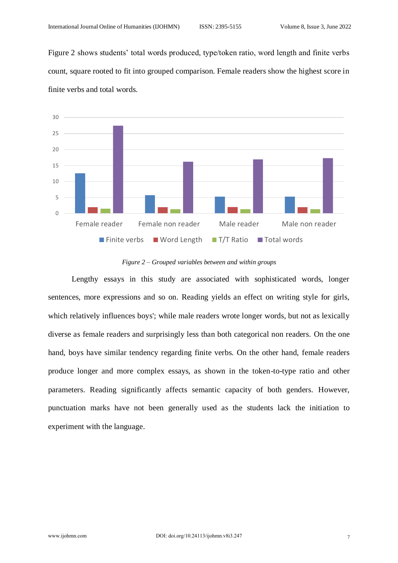Figure 2 shows students' total words produced, type/token ratio, word length and finite verbs count, square rooted to fit into grouped comparison. Female readers show the highest score in finite verbs and total words.



*Figure 2 – Grouped variables between and within groups*

Lengthy essays in this study are associated with sophisticated words, longer sentences, more expressions and so on. Reading yields an effect on writing style for girls, which relatively influences boys'; while male readers wrote longer words, but not as lexically diverse as female readers and surprisingly less than both categorical non readers. On the one hand, boys have similar tendency regarding finite verbs. On the other hand, female readers produce longer and more complex essays, as shown in the token-to-type ratio and other parameters. Reading significantly affects semantic capacity of both genders. However, punctuation marks have not been generally used as the students lack the initiation to experiment with the language.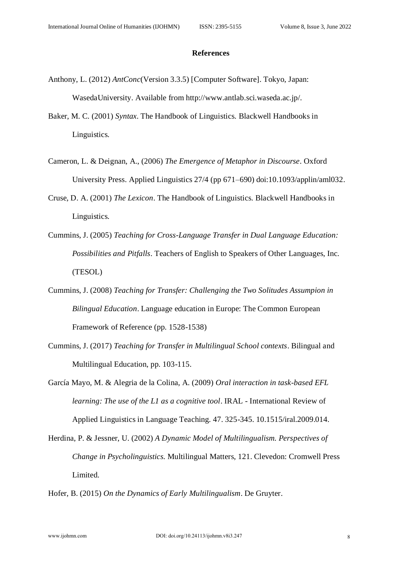#### **References**

- Anthony, L. (2012) *AntConc*(Version 3.3.5) [Computer Software]. Tokyo, Japan: WasedaUniversity. Available from http://www.antlab.sci.waseda.ac.jp/.
- Baker, M. C. (2001) *Syntax*. The Handbook of Linguistics. Blackwell Handbooks in Linguistics.
- Cameron, L. & Deignan, A., (2006) *The Emergence of Metaphor in Discourse.* Oxford University Press. Applied Linguistics 27/4 (pp 671–690) doi:10.1093/applin/aml032.
- Cruse, D. A. (2001) *The Lexicon*. The Handbook of Linguistics. Blackwell Handbooks in Linguistics.
- Cummins, J. (2005) *Teaching for Cross-Language Transfer in Dual Language Education: Possibilities and Pitfalls*. Teachers of English to Speakers of Other Languages, Inc. (TESOL)
- Cummins, J. (2008) *Teaching for Transfer: Challenging the Two Solitudes Assumpion in Bilingual Education*. Language education in Europe: The Common European Framework of Reference (pp. 1528-1538)
- Cummins, J. (2017) *Teaching for Transfer in Multilingual School contexts*. Bilingual and Multilingual Education, pp. 103-115.
- García Mayo, M. & Alegria de la Colina, A. (2009) *Oral interaction in task-based EFL learning: The use of the L1 as a cognitive tool*. IRAL - International Review of Applied Linguistics in Language Teaching. 47. 325-345. 10.1515/iral.2009.014.
- Herdina, P. & Jessner, U. (2002) *A Dynamic Model of Multilingualism. Perspectives of Change in Psycholinguistics.* Multilingual Matters, 121. Clevedon: Cromwell Press Limited.
- Hofer, B. (2015) *On the Dynamics of Early Multilingualism*. De Gruyter.